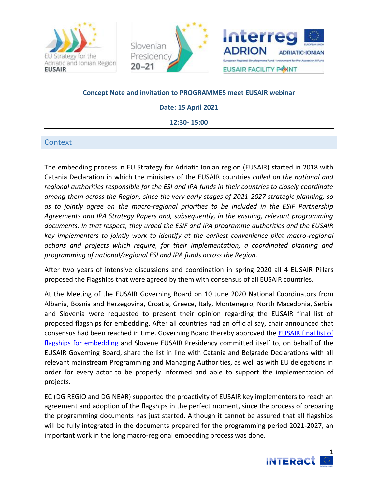





### **Concept Note and invitation to PROGRAMMES meet EUSAIR webinar**

**Date: 15 April 2021** 

**12:30- 15:00** 

### **Context**

The embedding process in EU Strategy for Adriatic Ionian region (EUSAIR) started in 2018 with Catania Declaration in which the ministers of the EUSAIR countries *called on the national and regional authorities responsible for the ESI and IPA funds in their countries to closely coordinate among them across the Region, since the very early stages of 2021-2027 strategic planning, so as to jointly agree on the macro-regional priorities to be included in the ESIF Partnership Agreements and IPA Strategy Papers and, subsequently, in the ensuing, relevant programming documents. In that respect, they urged the ESIF and IPA programme authorities and the EUSAIR key implementers to jointly work to identify at the earliest convenience pilot macro-regional actions and projects which require, for their implementation, a coordinated planning and programming of national/regional ESI and IPA funds across the Region.*

After two years of intensive discussions and coordination in spring 2020 all 4 EUSAIR Pillars proposed the Flagships that were agreed by them with consensus of all EUSAIR countries.

At the Meeting of the EUSAIR Governing Board on 10 June 2020 National Coordinators from Albania, Bosnia and Herzegovina, Croatia, Greece, Italy, Montenegro, North Macedonia, Serbia and Slovenia were requested to present their opinion regarding the EUSAIR final list of proposed flagships for embedding. After all countries had an official say, chair announced that consensus had been reached in time. Governing Board thereby approved the [EUSAIR final list of](https://www.adriatic-ionian.eu/wp-content/uploads/2020/10/EUSAIR-flagships-GB_clear-8-june.pdf)  [flagships for embedding](https://www.adriatic-ionian.eu/wp-content/uploads/2020/10/EUSAIR-flagships-GB_clear-8-june.pdf) and Slovene EUSAIR Presidency committed itself to, on behalf of the EUSAIR Governing Board, share the list in line with Catania and Belgrade Declarations with all relevant mainstream Programming and Managing Authorities, as well as with EU delegations in order for every actor to be properly informed and able to support the implementation of projects.

EC (DG REGIO and DG NEAR) supported the proactivity of EUSAIR key implementers to reach an agreement and adoption of the flagships in the perfect moment, since the process of preparing the programming documents has just started. Although it cannot be assured that all flagships will be fully integrated in the documents prepared for the programming period 2021-2027, an important work in the long macro-regional embedding process was done.

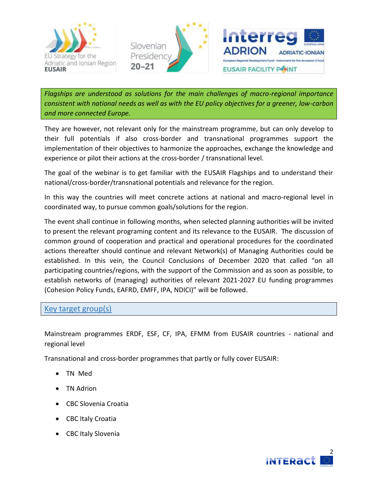





*Flagships are understood as solutions for the main challenges of macro-regional importance consistent with national needs as well as with the EU policy objectives for a greener, low-carbon and more connected Europe.* 

They are however, not relevant only for the mainstream programme, but can only develop to their full potentials if also cross-border and transnational programmes support the implementation of their objectives to harmonize the approaches, exchange the knowledge and experience or pilot their actions at the cross-border / transnational level.

The goal of the webinar is to get familiar with the EUSAIR Flagships and to understand their national/cross-border/transnational potentials and relevance for the region.

In this way the countries will meet concrete actions at national and macro-regional level in coordinated way, to pursue common goals/solutions for the region.

The event shall continue in following months, when selected planning authorities will be invited to present the relevant programing content and its relevance to the EUSAIR. The discussion of common ground of cooperation and practical and operational procedures for the coordinated actions thereafter should continue and relevant Network(s) of Managing Authorities could be established. In this vein, the Council Conclusions of December 2020 that called "on all participating countries/regions, with the support of the Commission and as soon as possible, to establish networks of (managing) authorities of relevant 2021-2027 EU funding programmes (Cohesion Policy Funds, EAFRD, EMFF, IPA, NDICI)" will be followed.

## Key target group(s)

Mainstream programmes ERDF, ESF, CF, IPA, EFMM from EUSAIR countries - national and regional level

Transnational and cross-border programmes that partly or fully cover EUSAIR:

- TN Med
- TN Adrion
- CBC Slovenia Croatia
- CBC Italy Croatia
- CBC Italy Slovenia

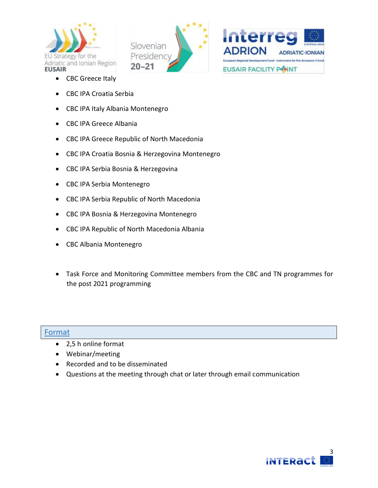





- CBC Greece Italy
- CBC IPA Croatia Serbia
- CBC IPA Italy Albania Montenegro
- CBC IPA Greece Albania
- CBC IPA Greece Republic of North Macedonia
- CBC IPA Croatia Bosnia & Herzegovina Montenegro
- CBC IPA Serbia Bosnia & Herzegovina
- CBC IPA Serbia Montenegro
- CBC IPA Serbia Republic of North Macedonia
- CBC IPA Bosnia & Herzegovina Montenegro
- CBC IPA Republic of North Macedonia Albania
- CBC Albania Montenegro
- Task Force and Monitoring Committee members from the CBC and TN programmes for the post 2021 programming

#### Format

- 2,5 h online format
- Webinar/meeting
- Recorded and to be disseminated
- Questions at the meeting through chat or later through email communication